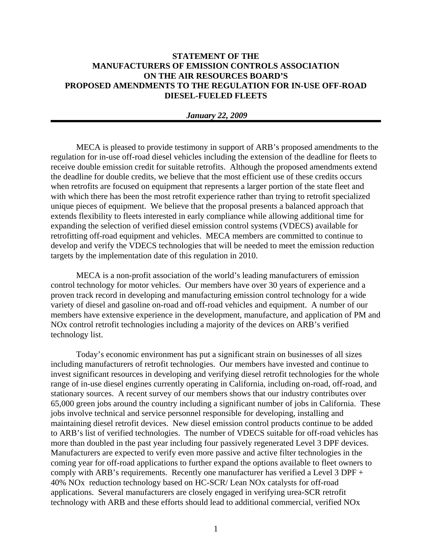## **STATEMENT OF THE MANUFACTURERS OF EMISSION CONTROLS ASSOCIATION ON THE AIR RESOURCES BOARD'S PROPOSED AMENDMENTS TO THE REGULATION FOR IN-USE OFF-ROAD DIESEL-FUELED FLEETS**

## *January 22, 2009*

MECA is pleased to provide testimony in support of ARB's proposed amendments to the regulation for in-use off-road diesel vehicles including the extension of the deadline for fleets to receive double emission credit for suitable retrofits. Although the proposed amendments extend the deadline for double credits, we believe that the most efficient use of these credits occurs when retrofits are focused on equipment that represents a larger portion of the state fleet and with which there has been the most retrofit experience rather than trying to retrofit specialized unique pieces of equipment. We believe that the proposal presents a balanced approach that extends flexibility to fleets interested in early compliance while allowing additional time for expanding the selection of verified diesel emission control systems (VDECS) available for retrofitting off-road equipment and vehicles. MECA members are committed to continue to develop and verify the VDECS technologies that will be needed to meet the emission reduction targets by the implementation date of this regulation in 2010.

MECA is a non-profit association of the world's leading manufacturers of emission control technology for motor vehicles. Our members have over 30 years of experience and a proven track record in developing and manufacturing emission control technology for a wide variety of diesel and gasoline on-road and off-road vehicles and equipment. A number of our members have extensive experience in the development, manufacture, and application of PM and NOx control retrofit technologies including a majority of the devices on ARB's verified technology list.

Today's economic environment has put a significant strain on businesses of all sizes including manufacturers of retrofit technologies. Our members have invested and continue to invest significant resources in developing and verifying diesel retrofit technologies for the whole range of in-use diesel engines currently operating in California, including on-road, off-road, and stationary sources. A recent survey of our members shows that our industry contributes over 65,000 green jobs around the country including a significant number of jobs in California. These jobs involve technical and service personnel responsible for developing, installing and maintaining diesel retrofit devices. New diesel emission control products continue to be added to ARB's list of verified technologies. The number of VDECS suitable for off-road vehicles has more than doubled in the past year including four passively regenerated Level 3 DPF devices. Manufacturers are expected to verify even more passive and active filter technologies in the coming year for off-road applications to further expand the options available to fleet owners to comply with ARB's requirements. Recently one manufacturer has verified a Level 3 DPF + 40% NOx reduction technology based on HC-SCR/ Lean NOx catalysts for off-road applications. Several manufacturers are closely engaged in verifying urea-SCR retrofit technology with ARB and these efforts should lead to additional commercial, verified NOx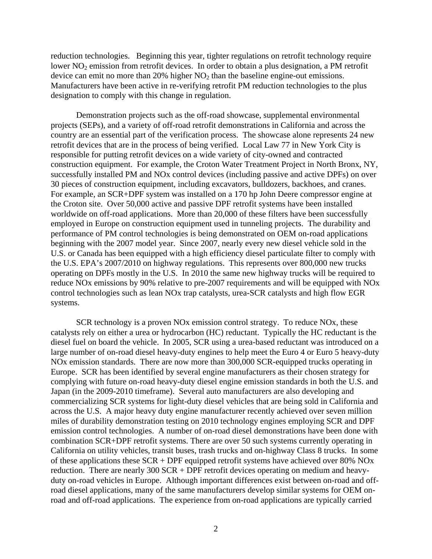reduction technologies. Beginning this year, tighter regulations on retrofit technology require lower NO<sub>2</sub> emission from retrofit devices. In order to obtain a plus designation, a PM retrofit device can emit no more than  $20\%$  higher  $NO<sub>2</sub>$  than the baseline engine-out emissions. Manufacturers have been active in re-verifying retrofit PM reduction technologies to the plus designation to comply with this change in regulation.

Demonstration projects such as the off-road showcase, supplemental environmental projects (SEPs), and a variety of off-road retrofit demonstrations in California and across the country are an essential part of the verification process. The showcase alone represents 24 new retrofit devices that are in the process of being verified. Local Law 77 in New York City is responsible for putting retrofit devices on a wide variety of city-owned and contracted construction equipment. For example, the Croton Water Treatment Project in North Bronx, NY, successfully installed PM and NOx control devices (including passive and active DPFs) on over 30 pieces of construction equipment, including excavators, bulldozers, backhoes, and cranes. For example, an SCR+DPF system was installed on a 170 hp John Deere compressor engine at the Croton site. Over 50,000 active and passive DPF retrofit systems have been installed worldwide on off-road applications. More than 20,000 of these filters have been successfully employed in Europe on construction equipment used in tunneling projects. The durability and performance of PM control technologies is being demonstrated on OEM on-road applications beginning with the 2007 model year. Since 2007, nearly every new diesel vehicle sold in the U.S. or Canada has been equipped with a high efficiency diesel particulate filter to comply with the U.S. EPA's 2007/2010 on highway regulations. This represents over 800,000 new trucks operating on DPFs mostly in the U.S. In 2010 the same new highway trucks will be required to reduce NOx emissions by 90% relative to pre-2007 requirements and will be equipped with NOx control technologies such as lean NOx trap catalysts, urea-SCR catalysts and high flow EGR systems.

SCR technology is a proven NOx emission control strategy.To reduce NOx, these catalysts rely on either a urea or hydrocarbon (HC) reductant. Typically the HC reductant is the diesel fuel on board the vehicle. In 2005, SCR using a urea-based reductant was introduced on a large number of on-road diesel heavy-duty engines to help meet the Euro 4 or Euro 5 heavy-duty NOx emission standards. There are now more than 300,000 SCR-equipped trucks operating in Europe. SCR has been identified by several engine manufacturers as their chosen strategy for complying with future on-road heavy-duty diesel engine emission standards in both the U.S. and Japan (in the 2009-2010 timeframe). Several auto manufacturers are also developing and commercializing SCR systems for light-duty diesel vehicles that are being sold in California and across the U.S. A major heavy duty engine manufacturer recently achieved over seven million miles of durability demonstration testing on 2010 technology engines employing SCR and DPF emission control technologies. A number of on-road diesel demonstrations have been done with combination SCR+DPF retrofit systems. There are over 50 such systems currently operating in California on utility vehicles, transit buses, trash trucks and on-highway Class 8 trucks. In some of these applications these SCR + DPF equipped retrofit systems have achieved over 80% NOx reduction. There are nearly 300 SCR + DPF retrofit devices operating on medium and heavyduty on-road vehicles in Europe. Although important differences exist between on-road and offroad diesel applications, many of the same manufacturers develop similar systems for OEM onroad and off-road applications. The experience from on-road applications are typically carried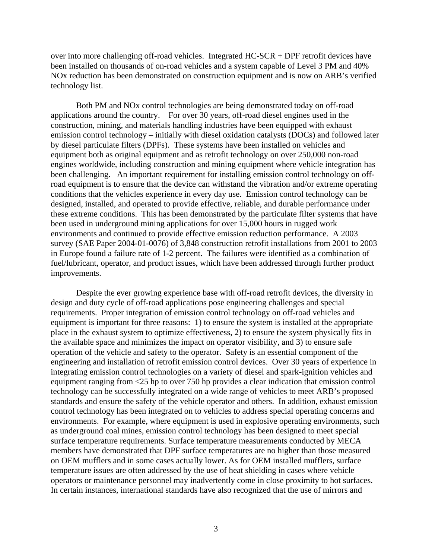over into more challenging off-road vehicles. Integrated HC-SCR + DPF retrofit devices have been installed on thousands of on-road vehicles and a system capable of Level 3 PM and 40% NOx reduction has been demonstrated on construction equipment and is now on ARB's verified technology list.

Both PM and NOx control technologies are being demonstrated today on off-road applications around the country. For over 30 years, off-road diesel engines used in the construction, mining, and materials handling industries have been equipped with exhaust emission control technology – initially with diesel oxidation catalysts (DOCs) and followed later by diesel particulate filters (DPFs). These systems have been installed on vehicles and equipment both as original equipment and as retrofit technology on over 250,000 non-road engines worldwide, including construction and mining equipment where vehicle integration has been challenging. An important requirement for installing emission control technology on offroad equipment is to ensure that the device can withstand the vibration and/or extreme operating conditions that the vehicles experience in every day use. Emission control technology can be designed, installed, and operated to provide effective, reliable, and durable performance under these extreme conditions. This has been demonstrated by the particulate filter systems that have been used in underground mining applications for over 15,000 hours in rugged work environments and continued to provide effective emission reduction performance. A 2003 survey (SAE Paper 2004-01-0076) of 3,848 construction retrofit installations from 2001 to 2003 in Europe found a failure rate of 1-2 percent. The failures were identified as a combination of fuel/lubricant, operator, and product issues, which have been addressed through further product improvements.

Despite the ever growing experience base with off-road retrofit devices, the diversity in design and duty cycle of off-road applications pose engineering challenges and special requirements. Proper integration of emission control technology on off-road vehicles and equipment is important for three reasons: 1) to ensure the system is installed at the appropriate place in the exhaust system to optimize effectiveness, 2) to ensure the system physically fits in the available space and minimizes the impact on operator visibility, and 3) to ensure safe operation of the vehicle and safety to the operator. Safety is an essential component of the engineering and installation of retrofit emission control devices. Over 30 years of experience in integrating emission control technologies on a variety of diesel and spark-ignition vehicles and equipment ranging from <25 hp to over 750 hp provides a clear indication that emission control technology can be successfully integrated on a wide range of vehicles to meet ARB's proposed standards and ensure the safety of the vehicle operator and others. In addition, exhaust emission control technology has been integrated on to vehicles to address special operating concerns and environments. For example, where equipment is used in explosive operating environments, such as underground coal mines, emission control technology has been designed to meet special surface temperature requirements. Surface temperature measurements conducted by MECA members have demonstrated that DPF surface temperatures are no higher than those measured on OEM mufflers and in some cases actually lower. As for OEM installed mufflers, surface temperature issues are often addressed by the use of heat shielding in cases where vehicle operators or maintenance personnel may inadvertently come in close proximity to hot surfaces. In certain instances, international standards have also recognized that the use of mirrors and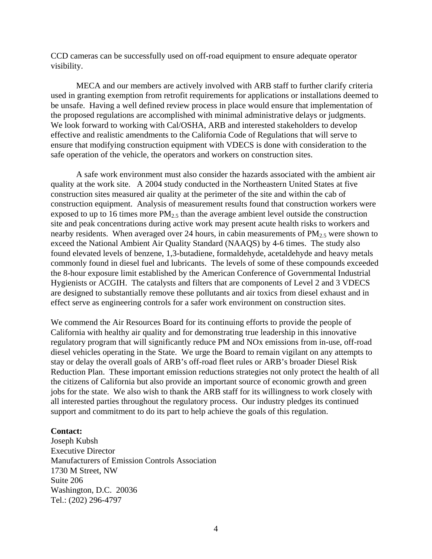CCD cameras can be successfully used on off-road equipment to ensure adequate operator visibility.

MECA and our members are actively involved with ARB staff to further clarify criteria used in granting exemption from retrofit requirements for applications or installations deemed to be unsafe. Having a well defined review process in place would ensure that implementation of the proposed regulations are accomplished with minimal administrative delays or judgments. We look forward to working with Cal/OSHA, ARB and interested stakeholders to develop effective and realistic amendments to the California Code of Regulations that will serve to ensure that modifying construction equipment with VDECS is done with consideration to the safe operation of the vehicle, the operators and workers on construction sites.

A safe work environment must also consider the hazards associated with the ambient air quality at the work site. A 2004 study conducted in the Northeastern United States at five construction sites measured air quality at the perimeter of the site and within the cab of construction equipment. Analysis of measurement results found that construction workers were exposed to up to 16 times more  $PM_{2.5}$  than the average ambient level outside the construction site and peak concentrations during active work may present acute health risks to workers and nearby residents. When averaged over 24 hours, in cabin measurements of  $PM_{2.5}$  were shown to exceed the National Ambient Air Quality Standard (NAAQS) by 4-6 times. The study also found elevated levels of benzene, 1,3-butadiene, formaldehyde, acetaldehyde and heavy metals commonly found in diesel fuel and lubricants. The levels of some of these compounds exceeded the 8-hour exposure limit established by the American Conference of Governmental Industrial Hygienists or ACGIH. The catalysts and filters that are components of Level 2 and 3 VDECS are designed to substantially remove these pollutants and air toxics from diesel exhaust and in effect serve as engineering controls for a safer work environment on construction sites.

We commend the Air Resources Board for its continuing efforts to provide the people of California with healthy air quality and for demonstrating true leadership in this innovative regulatory program that will significantly reduce PM and NOx emissions from in-use, off-road diesel vehicles operating in the State. We urge the Board to remain vigilant on any attempts to stay or delay the overall goals of ARB's off-road fleet rules or ARB's broader Diesel Risk Reduction Plan. These important emission reductions strategies not only protect the health of all the citizens of California but also provide an important source of economic growth and green jobs for the state. We also wish to thank the ARB staff for its willingness to work closely with all interested parties throughout the regulatory process. Our industry pledges its continued support and commitment to do its part to help achieve the goals of this regulation.

## **Contact:**

Joseph Kubsh Executive Director Manufacturers of Emission Controls Association 1730 M Street, NW Suite 206 Washington, D.C. 20036 Tel.: (202) 296-4797